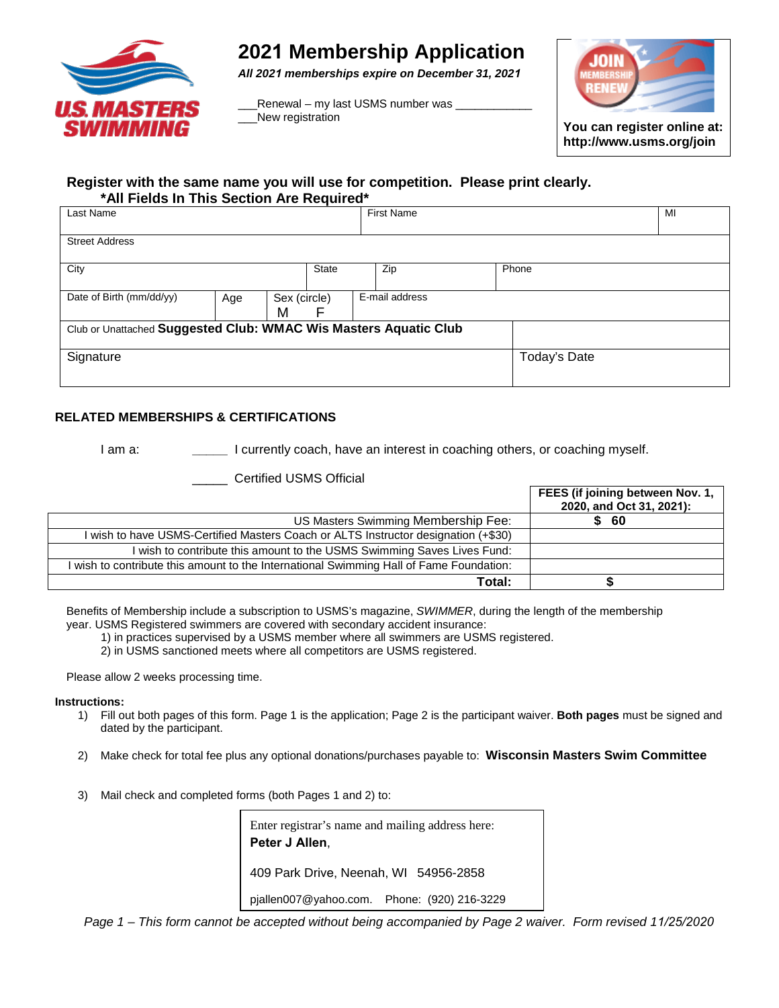

# **2021 Membership Application**

*All 2021 memberships expire on December 31, 2021*

Renewal – my last USMS number was New registration



#### **Register with the same name you will use for competition. Please print clearly. \*All Fields In This Section Are Required\***

| Last Name                                                        |  |              |                | <b>First Name</b> | MI |       |              |  |
|------------------------------------------------------------------|--|--------------|----------------|-------------------|----|-------|--------------|--|
| <b>Street Address</b>                                            |  |              |                |                   |    |       |              |  |
| City                                                             |  | <b>State</b> |                | Zip               |    | Phone |              |  |
| Date of Birth (mm/dd/yy)<br>Sex (circle)<br>Age<br>M<br>F        |  |              | E-mail address |                   |    |       |              |  |
| Club or Unattached Suggested Club: WMAC Wis Masters Aquatic Club |  |              |                |                   |    |       |              |  |
| Signature                                                        |  |              |                |                   |    |       | Today's Date |  |

### **RELATED MEMBERSHIPS & CERTIFICATIONS**

I am a: **\_\_\_\_\_** I currently coach, have an interest in coaching others, or coaching myself.

**Total: \$**

| Certified USMS Official                                                                 |                                                              |
|-----------------------------------------------------------------------------------------|--------------------------------------------------------------|
|                                                                                         | FEES (if joining between Nov. 1,<br>2020, and Oct 31, 2021): |
| US Masters Swimming Membership Fee:                                                     | \$ 60                                                        |
| I wish to have USMS-Certified Masters Coach or ALTS Instructor designation (+\$30)      |                                                              |
| I wish to contribute this amount to the USMS Swimming Saves Lives Fund:                 |                                                              |
| I wish to contribute this amount to the International Swimming Hall of Fame Foundation: |                                                              |

Benefits of Membership include a subscription to USMS's magazine, *SWIMMER*, during the length of the membership year. USMS Registered swimmers are covered with secondary accident insurance:

1) in practices supervised by a USMS member where all swimmers are USMS registered.

2) in USMS sanctioned meets where all competitors are USMS registered.

Please allow 2 weeks processing time.

#### **Instructions:**

- 1) Fill out both pages of this form. Page 1 is the application; Page 2 is the participant waiver. **Both pages** must be signed and dated by the participant.
- 2) Make check for total fee plus any optional donations/purchases payable to: **Wisconsin Masters Swim Committee**
- 3) Mail check and completed forms (both Pages 1 and 2) to:

| Enter registrar's name and mailing address here:<br>Peter J Allen, |  |  |  |  |
|--------------------------------------------------------------------|--|--|--|--|
| 409 Park Drive, Neenah, WI 54956-2858                              |  |  |  |  |
| pjallen007@yahoo.com. Phone: (920) 216-3229                        |  |  |  |  |

*Page 1 – This form cannot be accepted without being accompanied by Page 2 waiver. Form revised 11/25/2020*